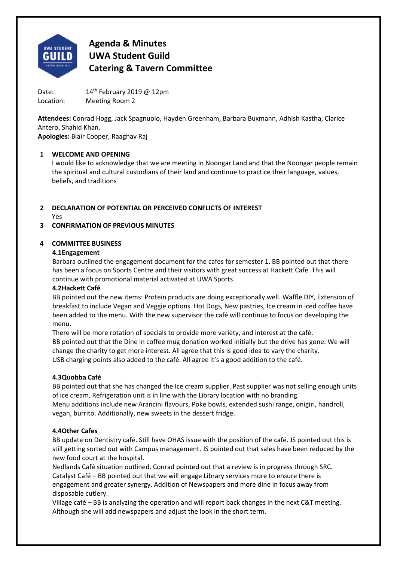

Date:  $14<sup>th</sup>$  February 2019 @ 12pm Location: Meeting Room 2

**Attendees:** Conrad Hogg, Jack Spagnuolo, Hayden Greenham, Barbara Buxmann, Adhish Kastha, Clarice Antero, Shahid Khan.

**Apologies:** Blair Cooper, Raaghav Raj

# **1 WELCOME AND OPENING**

I would like to acknowledge that we are meeting in Noongar Land and that the Noongar people remain the spiritual and cultural custodians of their land and continue to practice their language, values, beliefs, and traditions

# **2 DECLARATION OF POTENTIAL OR PERCEIVED CONFLICTS OF INTEREST**

Yes

# **3 CONFIRMATION OF PREVIOUS MINUTES**

#### **4 COMMITTEE BUSINESS**

#### **4.1 Engagement**

Barbara outlined the engagement document for the cafes for semester 1. BB pointed out that there has been a focus on Sports Centre and their visitors with great success at Hackett Cafe. This will continue with promotional material activated at UWA Sports.

#### **4.2 Hackett Café**

BB pointed out the new items: Protein products are doing exceptionally well. Waffle DIY, Extension of breakfast to include Vegan and Veggie options. Hot Dogs, New pastries, Ice cream in iced coffee have been added to the menu. With the new supervisor the café will continue to focus on developing the menu.

There will be more rotation of specials to provide more variety, and interest at the café. BB pointed out that the Dine in coffee mug donation worked initially but the drive has gone. We will change the charity to get more interest. All agree that this is good idea to vary the charity. USB charging points also added to the café. All agree it's a good addition to the café.

# **4.3 Quobba Café**

BB pointed out that she has changed the Ice cream supplier. Past supplier was not selling enough units of ice cream. Refrigeration unit is in line with the Library location with no branding.

Menu additions include new Arancini flavours, Poke bowls, extended sushi range, onigiri, handroll, vegan, burrito. Additionally, new sweets in the dessert fridge.

# **4.4 Other Cafes**

BB update on Dentistry café. Still have OHAS issue with the position of the café. JS pointed out this is still getting sorted out with Campus management. JS pointed out that sales have been reduced by the new food court at the hospital.

Nedlands Café situation outlined. Conrad pointed out that a review is in progress through SRC. Catalyst Café – BB pointed out that we will engage Library services more to ensure there is engagement and greater synergy. Addition of Newspapers and more dine in focus away from disposable cutlery.

Village café – BB is analyzing the operation and will report back changes in the next C&T meeting. Although she will add newspapers and adjust the look in the short term.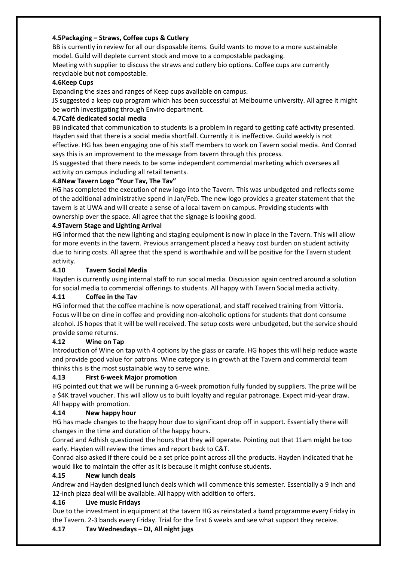### **4.5 Packaging – Straws, Coffee cups & Cutlery**

BB is currently in review for all our disposable items. Guild wants to move to a more sustainable model. Guild will deplete current stock and move to a compostable packaging.

Meeting with supplier to discuss the straws and cutlery bio options. Coffee cups are currently recyclable but not compostable.

### **4.6 Keep Cups**

Expanding the sizes and ranges of Keep cups available on campus.

JS suggested a keep cup program which has been successful at Melbourne university. All agree it might be worth investigating through Enviro department.

#### **4.7 Café dedicated social media**

BB indicated that communication to students is a problem in regard to getting café activity presented. Hayden said that there is a social media shortfall. Currently it is ineffective. Guild weekly is not effective. HG has been engaging one of his staff members to work on Tavern social media. And Conrad says this is an improvement to the message from tavern through this process.

JS suggested that there needs to be some independent commercial marketing which oversees all activity on campus including all retail tenants.

# **4.8 New Tavern Logo "Your Tav, The Tav"**

HG has completed the execution of new logo into the Tavern. This was unbudgeted and reflects some of the additional administrative spend in Jan/Feb. The new logo provides a greater statement that the tavern is at UWA and will create a sense of a local tavern on campus. Providing students with ownership over the space. All agree that the signage is looking good.

# **4.9 Tavern Stage and Lighting Arrival**

HG informed that the new lighting and staging equipment is now in place in the Tavern. This will allow for more events in the tavern. Previous arrangement placed a heavy cost burden on student activity due to hiring costs. All agree that the spend is worthwhile and will be positive for the Tavern student activity.

#### **4.10 Tavern Social Media**

Hayden is currently using internal staff to run social media. Discussion again centred around a solution for social media to commercial offerings to students. All happy with Tavern Social media activity.

# **4.11 Coffee in the Tav**

HG informed that the coffee machine is now operational, and staff received training from Vittoria. Focus will be on dine in coffee and providing non‐alcoholic options for students that dont consume alcohol. JS hopes that it will be well received. The setup costs were unbudgeted, but the service should provide some returns.

#### **4.12 Wine on Tap**

Introduction of Wine on tap with 4 options by the glass or carafe. HG hopes this will help reduce waste and provide good value for patrons. Wine category is in growth at the Tavern and commercial team thinks this is the most sustainable way to serve wine.

# **4.13 First 6‐week Major promotion**

HG pointed out that we will be running a 6‐week promotion fully funded by suppliers. The prize will be a \$4K travel voucher. This will allow us to built loyalty and regular patronage. Expect mid‐year draw. All happy with promotion.

# **4.14 New happy hour**

HG has made changes to the happy hour due to significant drop off in support. Essentially there will changes in the time and duration of the happy hours.

Conrad and Adhish questioned the hours that they will operate. Pointing out that 11am might be too early. Hayden will review the times and report back to C&T.

Conrad also asked if there could be a set price point across all the products. Hayden indicated that he would like to maintain the offer as it is because it might confuse students.

# **4.15 New lunch deals**

Andrew and Hayden designed lunch deals which will commence this semester. Essentially a 9 inch and 12-inch pizza deal will be available. All happy with addition to offers.

# **4.16 Live music Fridays**

Due to the investment in equipment at the tavern HG as reinstated a band programme every Friday in the Tavern. 2‐3 bands every Friday. Trial for the first 6 weeks and see what support they receive.

# **4.17 Tav Wednesdays – DJ, All night jugs**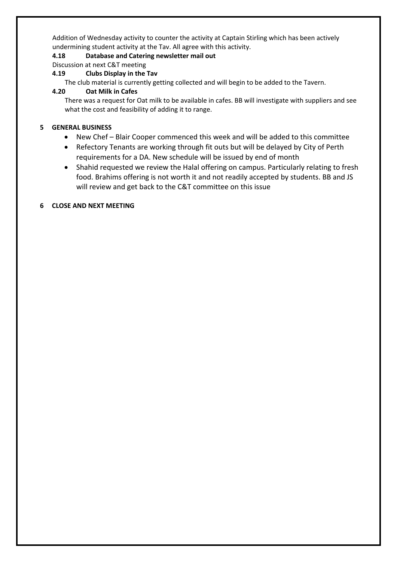Addition of Wednesday activity to counter the activity at Captain Stirling which has been actively undermining student activity at the Tav. All agree with this activity.

### **4.18 Database and Catering newsletter mail out**

Discussion at next C&T meeting

# **4.19 Clubs Display in the Tav**

The club material is currently getting collected and will begin to be added to the Tavern.

#### **4.20 Oat Milk in Cafes**

There was a request for Oat milk to be available in cafes. BB will investigate with suppliers and see what the cost and feasibility of adding it to range.

# **5 GENERAL BUSINESS**

- New Chef Blair Cooper commenced this week and will be added to this committee
- Refectory Tenants are working through fit outs but will be delayed by City of Perth requirements for a DA. New schedule will be issued by end of month
- Shahid requested we review the Halal offering on campus. Particularly relating to fresh food. Brahims offering is not worth it and not readily accepted by students. BB and JS will review and get back to the C&T committee on this issue

# **6 CLOSE AND NEXT MEETING**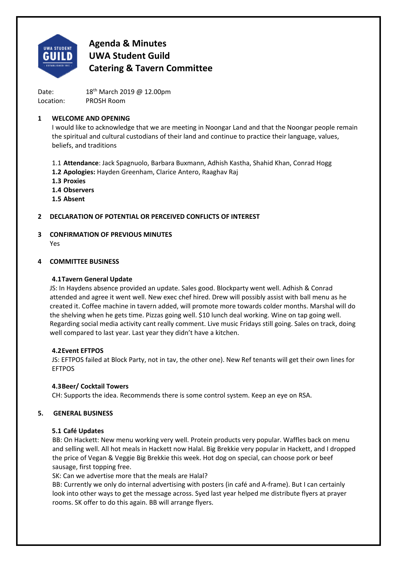

Date: 18<sup>th</sup> March 2019 @ 12.00pm Location: PROSH Room

# **1 WELCOME AND OPENING**

I would like to acknowledge that we are meeting in Noongar Land and that the Noongar people remain the spiritual and cultural custodians of their land and continue to practice their language, values, beliefs, and traditions

- 1.1 **Attendance**: Jack Spagnuolo, Barbara Buxmann, Adhish Kastha, Shahid Khan, Conrad Hogg
- **1.2 Apologies:** Hayden Greenham, Clarice Antero, Raaghav Raj
- **1.3 Proxies**

**1.4 Observers** 

**1.5 Absent** 

# **2 DECLARATION OF POTENTIAL OR PERCEIVED CONFLICTS OF INTEREST**

- **3 CONFIRMATION OF PREVIOUS MINUTES**
	- Yes

# **4 COMMITTEE BUSINESS**

# **4.1Tavern General Update**

JS: In Haydens absence provided an update. Sales good. Blockparty went well. Adhish & Conrad attended and agree it went well. New exec chef hired. Drew will possibly assist with ball menu as he created it. Coffee machine in tavern added, will promote more towards colder months. Marshal will do the shelving when he gets time. Pizzas going well. \$10 lunch deal working. Wine on tap going well. Regarding social media activity cant really comment. Live music Fridays still going. Sales on track, doing well compared to last year. Last year they didn't have a kitchen.

# **4.2Event EFTPOS**

JS: EFTPOS failed at Block Party, not in tav, the other one). New Ref tenants will get their own lines for EFTPOS

# **4.3Beer/ Cocktail Towers**

CH: Supports the idea. Recommends there is some control system. Keep an eye on RSA.

# **5. GENERAL BUSINESS**

# **5.1 Café Updates**

BB: On Hackett: New menu working very well. Protein products very popular. Waffles back on menu and selling well. All hot meals in Hackett now Halal. Big Brekkie very popular in Hackett, and I dropped the price of Vegan & Veggie Big Brekkie this week. Hot dog on special, can choose pork or beef sausage, first topping free.

SK: Can we advertise more that the meals are Halal?

BB: Currently we only do internal advertising with posters (in café and A-frame). But I can certainly look into other ways to get the message across. Syed last year helped me distribute flyers at prayer rooms. SK offer to do this again. BB will arrange flyers.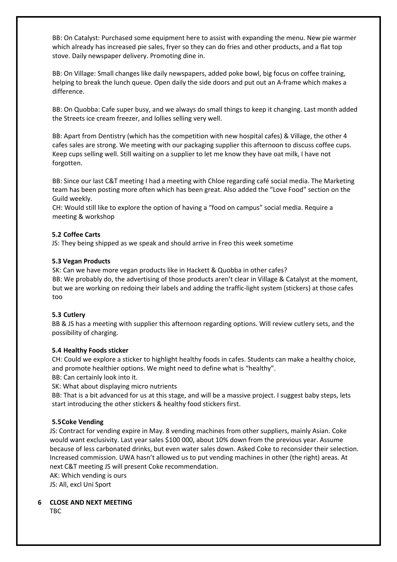BB: On Catalyst: Purchased some equipment here to assist with expanding the menu. New pie warmer which already has increased pie sales, fryer so they can do fries and other products, and a flat top stove. Daily newspaper delivery. Promoting dine in.

BB: On Village: Small changes like daily newspapers, added poke bowl, big focus on coffee training, helping to break the lunch queue. Open daily the side doors and put out an A‐frame which makes a difference.

BB: On Quobba: Cafe super busy, and we always do small things to keep it changing. Last month added the Streets ice cream freezer, and lollies selling very well.

BB: Apart from Dentistry (which has the competition with new hospital cafes) & Village, the other 4 cafes sales are strong. We meeting with our packaging supplier this afternoon to discuss coffee cups. Keep cups selling well. Still waiting on a supplier to let me know they have oat milk, I have not forgotten.

BB: Since our last C&T meeting I had a meeting with Chloe regarding café social media. The Marketing team has been posting more often which has been great. Also added the "Love Food" section on the Guild weekly.

CH: Would still like to explore the option of having a "food on campus" social media. Require a meeting & workshop

# **5.2 Coffee Carts**

JS: They being shipped as we speak and should arrive in Freo this week sometime

#### **5.3 Vegan Products**

SK: Can we have more vegan products like in Hackett & Quobba in other cafes? BB: We probably do, the advertising of those products aren't clear in Village & Catalyst at the moment, but we are working on redoing their labels and adding the traffic‐light system (stickers) at those cafes too

# **5.3 Cutlery**

BB & JS has a meeting with supplier this afternoon regarding options. Will review cutlery sets, and the possibility of charging.

#### **5.4 Healthy Foods sticker**

CH: Could we explore a sticker to highlight healthy foods in cafes. Students can make a healthy choice, and promote healthier options. We might need to define what is "healthy".

BB: Can certainly look into it.

SK: What about displaying micro nutrients

BB: That is a bit advanced for us at this stage, and will be a massive project. I suggest baby steps, lets start introducing the other stickers & healthy food stickers first.

# **5.5Coke Vending**

JS: Contract for vending expire in May. 8 vending machines from other suppliers, mainly Asian. Coke would want exclusivity. Last year sales \$100 000, about 10% down from the previous year. Assume because of less carbonated drinks, but even water sales down. Asked Coke to reconsider their selection. Increased commission. UWA hasn't allowed us to put vending machines in other (the right) areas. At next C&T meeting JS will present Coke recommendation.

AK: Which vending is ours JS: All, excl Uni Sport

**6 CLOSE AND NEXT MEETING** 

TBC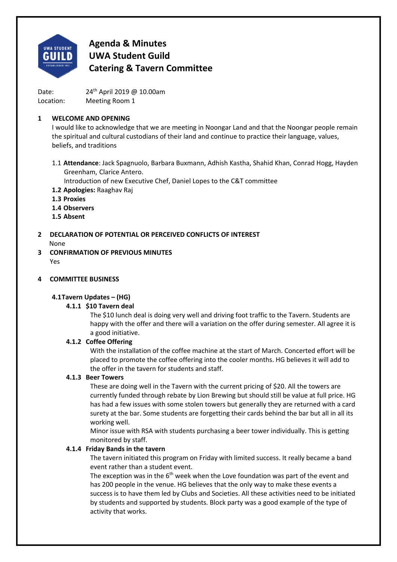

Date: 24<sup>th</sup> April 2019 @ 10.00am Location: Meeting Room 1

# **1 WELCOME AND OPENING**

I would like to acknowledge that we are meeting in Noongar Land and that the Noongar people remain the spiritual and cultural custodians of their land and continue to practice their language, values, beliefs, and traditions

1.1 **Attendance**: Jack Spagnuolo, Barbara Buxmann, Adhish Kastha, Shahid Khan, Conrad Hogg, Hayden Greenham, Clarice Antero.

Introduction of new Executive Chef, Daniel Lopes to the C&T committee

- **1.2 Apologies:** Raaghav Raj
- **1.3 Proxies**
- **1.4 Observers**
- **1.5 Absent**

# **2 DECLARATION OF POTENTIAL OR PERCEIVED CONFLICTS OF INTEREST** None

**3 CONFIRMATION OF PREVIOUS MINUTES** Yes

# **4 COMMITTEE BUSINESS**

# **4.1Tavern Updates – (HG)**

# **4.1.1 \$10 Tavern deal**

The \$10 lunch deal is doing very well and driving foot traffic to the Tavern. Students are happy with the offer and there will a variation on the offer during semester. All agree it is a good initiative.

# **4.1.2 Coffee Offering**

With the installation of the coffee machine at the start of March. Concerted effort will be placed to promote the coffee offering into the cooler months. HG believes it will add to the offer in the tavern for students and staff.

# **4.1.3 Beer Towers**

These are doing well in the Tavern with the current pricing of \$20. All the towers are currently funded through rebate by Lion Brewing but should still be value at full price. HG has had a few issues with some stolen towers but generally they are returned with a card surety at the bar. Some students are forgetting their cards behind the bar but all in all its working well.

Minor issue with RSA with students purchasing a beer tower individually. This is getting monitored by staff.

# **4.1.4 Friday Bands in the tavern**

The tavern initiated this program on Friday with limited success. It really became a band event rather than a student event.

The exception was in the  $6<sup>th</sup>$  week when the Love foundation was part of the event and has 200 people in the venue. HG believes that the only way to make these events a success is to have them led by Clubs and Societies. All these activities need to be initiated by students and supported by students. Block party was a good example of the type of activity that works.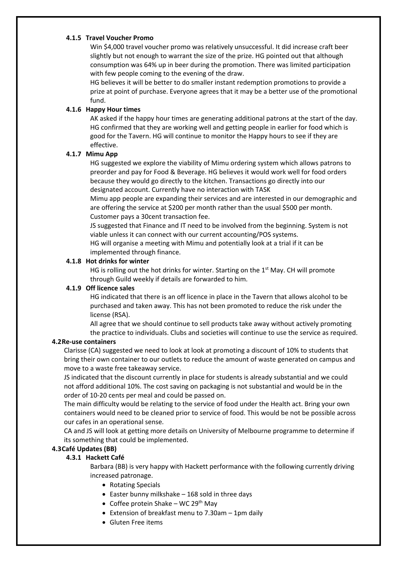#### **4.1.5 Travel Voucher Promo**

Win \$4,000 travel voucher promo was relatively unsuccessful. It did increase craft beer slightly but not enough to warrant the size of the prize. HG pointed out that although consumption was 64% up in beer during the promotion. There was limited participation with few people coming to the evening of the draw.

HG believes it will be better to do smaller instant redemption promotions to provide a prize at point of purchase. Everyone agrees that it may be a better use of the promotional fund.

#### **4.1.6 Happy Hour times**

AK asked if the happy hour times are generating additional patrons at the start of the day. HG confirmed that they are working well and getting people in earlier for food which is good for the Tavern. HG will continue to monitor the Happy hours to see if they are effective.

#### **4.1.7 Mimu App**

HG suggested we explore the viability of Mimu ordering system which allows patrons to preorder and pay for Food & Beverage. HG believes it would work well for food orders because they would go directly to the kitchen. Transactions go directly into our designated account. Currently have no interaction with TASK

Mimu app people are expanding their services and are interested in our demographic and are offering the service at \$200 per month rather than the usual \$500 per month. Customer pays a 30cent transaction fee.

JS suggested that Finance and IT need to be involved from the beginning. System is not viable unless it can connect with our current accounting/POS systems.

HG will organise a meeting with Mimu and potentially look at a trial if it can be implemented through finance.

#### **4.1.8 Hot drinks for winter**

HG is rolling out the hot drinks for winter. Starting on the  $1<sup>st</sup>$  May. CH will promote through Guild weekly if details are forwarded to him.

#### **4.1.9 Off licence sales**

HG indicated that there is an off licence in place in the Tavern that allows alcohol to be purchased and taken away. This has not been promoted to reduce the risk under the license (RSA).

All agree that we should continue to sell products take away without actively promoting the practice to individuals. Clubs and societies will continue to use the service as required.

#### **4.2Re‐use containers**

Clarisse (CA) suggested we need to look at look at promoting a discount of 10% to students that bring their own container to our outlets to reduce the amount of waste generated on campus and move to a waste free takeaway service.

JS indicated that the discount currently in place for students is already substantial and we could not afford additional 10%. The cost saving on packaging is not substantial and would be in the order of 10‐20 cents per meal and could be passed on.

The main difficulty would be relating to the service of food under the Health act. Bring your own containers would need to be cleaned prior to service of food. This would be not be possible across our cafes in an operational sense.

CA and JS will look at getting more details on University of Melbourne programme to determine if its something that could be implemented.

#### **4.3Café Updates (BB)**

#### **4.3.1 Hackett Café**

Barbara (BB) is very happy with Hackett performance with the following currently driving increased patronage.

- Rotating Specials
- $\bullet$  Easter bunny milkshake 168 sold in three days
- Coffee protein Shake WC 29<sup>th</sup> May
- Extension of breakfast menu to 7.30am 1pm daily
- Gluten Free items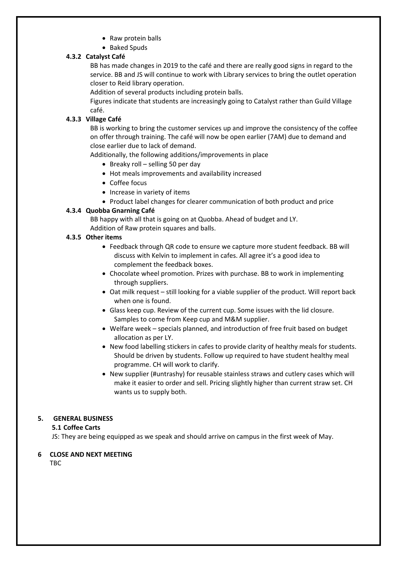- Raw protein balls
- Baked Spuds

# **4.3.2 Catalyst Café**

BB has made changes in 2019 to the café and there are really good signs in regard to the service. BB and JS will continue to work with Library services to bring the outlet operation closer to Reid library operation.

Addition of several products including protein balls.

Figures indicate that students are increasingly going to Catalyst rather than Guild Village café.

# **4.3.3 Village Café**

BB is working to bring the customer services up and improve the consistency of the coffee on offer through training. The café will now be open earlier (7AM) due to demand and close earlier due to lack of demand.

Additionally, the following additions/improvements in place

- $\bullet$  Breaky roll selling 50 per day
- Hot meals improvements and availability increased
- Coffee focus
- Increase in variety of items
- Product label changes for clearer communication of both product and price

#### **4.3.4 Quobba Gnarning Café**

BB happy with all that is going on at Quobba. Ahead of budget and LY. Addition of Raw protein squares and balls.

#### **4.3.5 Other items**

- Feedback through QR code to ensure we capture more student feedback. BB will discuss with Kelvin to implement in cafes. All agree it's a good idea to complement the feedback boxes.
- Chocolate wheel promotion. Prizes with purchase. BB to work in implementing through suppliers.
- Oat milk request still looking for a viable supplier of the product. Will report back when one is found.
- Glass keep cup. Review of the current cup. Some issues with the lid closure. Samples to come from Keep cup and M&M supplier.
- Welfare week specials planned, and introduction of free fruit based on budget allocation as per LY.
- New food labelling stickers in cafes to provide clarity of healthy meals for students. Should be driven by students. Follow up required to have student healthy meal programme. CH will work to clarify.
- New supplier (#untrashy) for reusable stainless straws and cutlery cases which will make it easier to order and sell. Pricing slightly higher than current straw set. CH wants us to supply both.

#### **5. GENERAL BUSINESS**

#### **5.1 Coffee Carts**

JS: They are being equipped as we speak and should arrive on campus in the first week of May.

#### **6 CLOSE AND NEXT MEETING**

TBC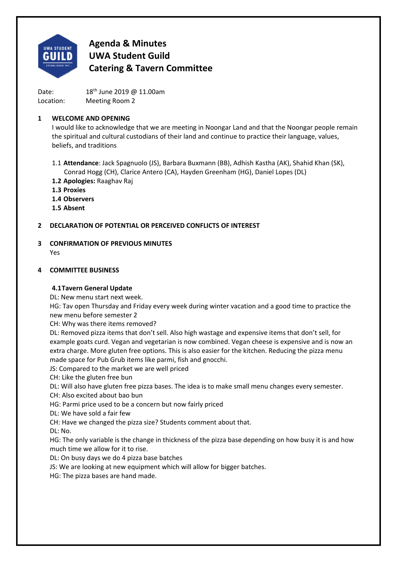

Date: 18<sup>th</sup> June 2019 @ 11.00am Location: Meeting Room 2

# **1 WELCOME AND OPENING**

I would like to acknowledge that we are meeting in Noongar Land and that the Noongar people remain the spiritual and cultural custodians of their land and continue to practice their language, values, beliefs, and traditions

1.1 **Attendance**: Jack Spagnuolo (JS), Barbara Buxmann (BB), Adhish Kastha (AK), Shahid Khan (SK), Conrad Hogg (CH), Clarice Antero (CA), Hayden Greenham (HG), Daniel Lopes (DL)

- **1.2 Apologies:** Raaghav Raj
- **1.3 Proxies**

**1.4 Observers** 

**1.5 Absent** 

# **2 DECLARATION OF POTENTIAL OR PERCEIVED CONFLICTS OF INTEREST**

**3 CONFIRMATION OF PREVIOUS MINUTES** Yes

#### **4 COMMITTEE BUSINESS**

# **4.1Tavern General Update**

DL: New menu start next week.

HG: Tav open Thursday and Friday every week during winter vacation and a good time to practice the new menu before semester 2

CH: Why was there items removed?

DL: Removed pizza items that don't sell. Also high wastage and expensive items that don't sell, for example goats curd. Vegan and vegetarian is now combined. Vegan cheese is expensive and is now an extra charge. More gluten free options. This is also easier for the kitchen. Reducing the pizza menu made space for Pub Grub items like parmi, fish and gnocchi.

JS: Compared to the market we are well priced

CH: Like the gluten free bun

DL: Will also have gluten free pizza bases. The idea is to make small menu changes every semester.

CH: Also excited about bao bun

HG: Parmi price used to be a concern but now fairly priced

DL: We have sold a fair few

CH: Have we changed the pizza size? Students comment about that.

DL: No.

HG: The only variable is the change in thickness of the pizza base depending on how busy it is and how much time we allow for it to rise.

DL: On busy days we do 4 pizza base batches

JS: We are looking at new equipment which will allow for bigger batches.

HG: The pizza bases are hand made.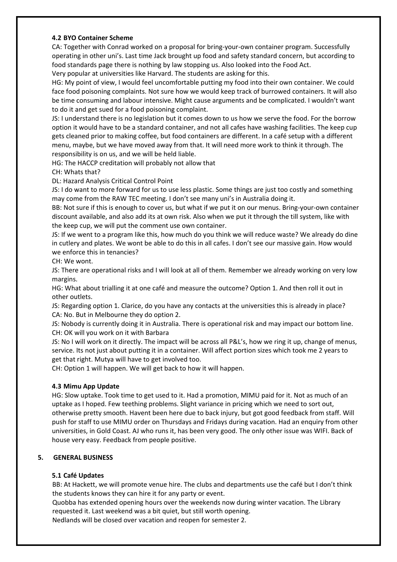#### **4.2 BYO Container Scheme**

CA: Together with Conrad worked on a proposal for bring‐your‐own container program. Successfully operating in other uni's. Last time Jack brought up food and safety standard concern, but according to food standards page there is nothing by law stopping us. Also looked into the Food Act.

Very popular at universities like Harvard. The students are asking for this.

HG: My point of view, I would feel uncomfortable putting my food into their own container. We could face food poisoning complaints. Not sure how we would keep track of burrowed containers. It will also be time consuming and labour intensive. Might cause arguments and be complicated. I wouldn't want to do it and get sued for a food poisoning complaint.

JS: I understand there is no legislation but it comes down to us how we serve the food. For the borrow option it would have to be a standard container, and not all cafes have washing facilities. The keep cup gets cleaned prior to making coffee, but food containers are different. In a café setup with a different menu, maybe, but we have moved away from that. It will need more work to think it through. The responsibility is on us, and we will be held liable.

HG: The HACCP creditation will probably not allow that

CH: Whats that?

DL: Hazard Analysis Critical Control Point

JS: I do want to more forward for us to use less plastic. Some things are just too costly and something may come from the RAW TEC meeting. I don't see many uni's in Australia doing it.

BB: Not sure if this is enough to cover us, but what if we put it on our menus. Bring-your-own container discount available, and also add its at own risk. Also when we put it through the till system, like with the keep cup, we will put the comment use own container.

JS: If we went to a program like this, how much do you think we will reduce waste? We already do dine in cutlery and plates. We wont be able to do this in all cafes. I don't see our massive gain. How would we enforce this in tenancies?

CH: We wont.

JS: There are operational risks and I will look at all of them. Remember we already working on very low margins.

HG: What about trialling it at one café and measure the outcome? Option 1. And then roll it out in other outlets.

JS: Regarding option 1. Clarice, do you have any contacts at the universities this is already in place? CA: No. But in Melbourne they do option 2.

JS: Nobody is currently doing it in Australia. There is operational risk and may impact our bottom line. CH: OK will you work on it with Barbara

JS: No I will work on it directly. The impact will be across all P&L's, how we ring it up, change of menus, service. Its not just about putting it in a container. Will affect portion sizes which took me 2 years to get that right. Mutya will have to get involved too.

CH: Option 1 will happen. We will get back to how it will happen.

# **4.3 Mimu App Update**

HG: Slow uptake. Took time to get used to it. Had a promotion, MIMU paid for it. Not as much of an uptake as I hoped. Few teething problems. Slight variance in pricing which we need to sort out, otherwise pretty smooth. Havent been here due to back injury, but got good feedback from staff. Will push for staff to use MIMU order on Thursdays and Fridays during vacation. Had an enquiry from other universities, in Gold Coast. AJ who runs it, has been very good. The only other issue was WIFI. Back of house very easy. Feedback from people positive.

# **5. GENERAL BUSINESS**

# **5.1 Café Updates**

BB: At Hackett, we will promote venue hire. The clubs and departments use the café but I don't think the students knows they can hire it for any party or event.

Quobba has extended opening hours over the weekends now during winter vacation. The Library requested it. Last weekend was a bit quiet, but still worth opening.

Nedlands will be closed over vacation and reopen for semester 2.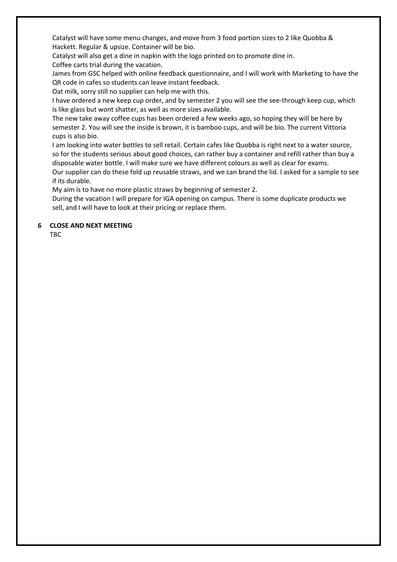Catalyst will have some menu changes, and move from 3 food portion sizes to 2 like Quobba & Hackett. Regular & upsize. Container will be bio.

Catalyst will also get a dine in napkin with the logo printed on to promote dine in. Coffee carts trial during the vacation.

James from GSC helped with online feedback questionnaire, and I will work with Marketing to have the QR code in cafes so students can leave instant feedback.

Oat milk, sorry still no supplier can help me with this.

I have ordered a new keep cup order, and by semester 2 you will see the see‐through keep cup, which is like glass but wont shatter, as well as more sizes available.

The new take away coffee cups has been ordered a few weeks ago, so hoping they will be here by semester 2. You will see the inside is brown, it is bamboo cups, and will be bio. The current Vittoria cups is also bio.

I am looking into water bottles to sell retail. Certain cafes like Quobba is right next to a water source, so for the students serious about good choices, can rather buy a container and refill rather than buy a disposable water bottle. I will make sure we have different colours as well as clear for exams. Our supplier can do these fold up reusable straws, and we can brand the lid. I asked for a sample to see if its durable.

My aim is to have no more plastic straws by beginning of semester 2.

During the vacation I will prepare for IGA opening on campus. There is some duplicate products we sell, and I will have to look at their pricing or replace them.

#### **6 CLOSE AND NEXT MEETING**

TBC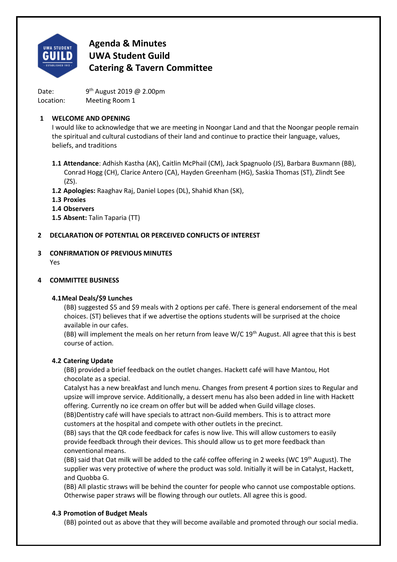

Date: 9<sup>th</sup> August 2019 @ 2.00pm Location: Meeting Room 1

# **1 WELCOME AND OPENING**

I would like to acknowledge that we are meeting in Noongar Land and that the Noongar people remain the spiritual and cultural custodians of their land and continue to practice their language, values, beliefs, and traditions

- **1.1 Attendance**: Adhish Kastha (AK), Caitlin McPhail (CM), Jack Spagnuolo (JS), Barbara Buxmann (BB), Conrad Hogg (CH), Clarice Antero (CA), Hayden Greenham (HG), Saskia Thomas (ST), Zlindt See (ZS).
- **1.2 Apologies:** Raaghav Raj, Daniel Lopes (DL), Shahid Khan (SK),
- **1.3 Proxies**
- **1.4 Observers**
- **1.5 Absent:** Talin Taparia (TT)

# **2 DECLARATION OF POTENTIAL OR PERCEIVED CONFLICTS OF INTEREST**

# **3 CONFIRMATION OF PREVIOUS MINUTES**

Yes

# **4 COMMITTEE BUSINESS**

# **4.1Meal Deals/\$9 Lunches**

(BB) suggested \$5 and \$9 meals with 2 options per café. There is general endorsement of the meal choices. (ST) believes that if we advertise the options students will be surprised at the choice available in our cafes.

(BB) will implement the meals on her return from leave W/C  $19<sup>th</sup>$  August. All agree that this is best course of action.

# **4.2 Catering Update**

(BB) provided a brief feedback on the outlet changes. Hackett café will have Mantou, Hot chocolate as a special.

Catalyst has a new breakfast and lunch menu. Changes from present 4 portion sizes to Regular and upsize will improve service. Additionally, a dessert menu has also been added in line with Hackett offering. Currently no ice cream on offer but will be added when Guild village closes.

(BB)Dentistry café will have specials to attract non-Guild members. This is to attract more customers at the hospital and compete with other outlets in the precinct.

(BB) says that the QR code feedback for cafes is now live. This will allow customers to easily provide feedback through their devices. This should allow us to get more feedback than conventional means.

(BB) said that Oat milk will be added to the café coffee offering in 2 weeks (WC 19<sup>th</sup> August). The supplier was very protective of where the product was sold. Initially it will be in Catalyst, Hackett, and Quobba G.

(BB) All plastic straws will be behind the counter for people who cannot use compostable options. Otherwise paper straws will be flowing through our outlets. All agree this is good.

# **4.3 Promotion of Budget Meals**

(BB) pointed out as above that they will become available and promoted through our social media.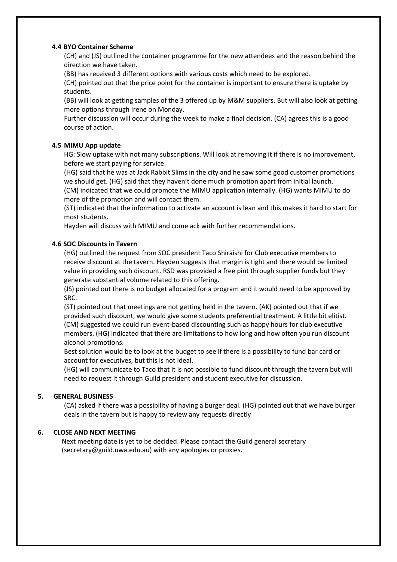#### **4.4 BYO Container Scheme**

(CH) and (JS) outlined the container programme for the new attendees and the reason behind the direction we have taken.

(BB) has received 3 different options with various costs which need to be explored.

(CH) pointed out that the price point for the container is important to ensure there is uptake by students.

(BB) will look at getting samples of the 3 offered up by M&M suppliers. But will also look at getting more options through Irene on Monday.

Further discussion will occur during the week to make a final decision. (CA) agrees this is a good course of action.

# **4.5 MIMU App update**

HG: Slow uptake with not many subscriptions. Will look at removing it if there is no improvement, before we start paying for service.

(HG) said that he was at Jack Rabbit Slims in the city and he saw some good customer promotions we should get. (HG) said that they haven't done much promotion apart from initial launch.

(CM) indicated that we could promote the MIMU application internally. (HG) wants MIMU to do more of the promotion and will contact them.

(ST) indicated that the information to activate an account is lean and this makes it hard to start for most students.

Hayden will discuss with MIMU and come ack with further recommendations.

#### **4.6 SOC Discounts in Tavern**

(HG) outlined the request from SOC president Taco Shiraishi for Club executive members to receive discount at the tavern. Hayden suggests that margin is tight and there would be limited value in providing such discount. RSD was provided a free pint through supplier funds but they generate substantial volume related to this offering.

(JS) pointed out there is no budget allocated for a program and it would need to be approved by SRC.

(ST) pointed out that meetings are not getting held in the tavern. (AK) pointed out that if we provided such discount, we would give some students preferential treatment. A little bit elitist. (CM) suggested we could run event-based discounting such as happy hours for club executive members. (HG) indicated that there are limitations to how long and how often you run discount alcohol promotions.

Best solution would be to look at the budget to see if there is a possibility to fund bar card or account for executives, but this is not ideal.

(HG) will communicate to Taco that it is not possible to fund discount through the tavern but will need to request it through Guild president and student executive for discussion.

#### **5. GENERAL BUSINESS**

(CA) asked if there was a possibility of having a burger deal. (HG) pointed out that we have burger deals in the tavern but is happy to review any requests directly

#### **6. CLOSE AND NEXT MEETING**

Next meeting date is yet to be decided. Please contact the Guild general secretary [\(secretary@guild.uwa.edu.au\)](mailto:secretary@guild.uwa.edu.au) with any apologies or proxies.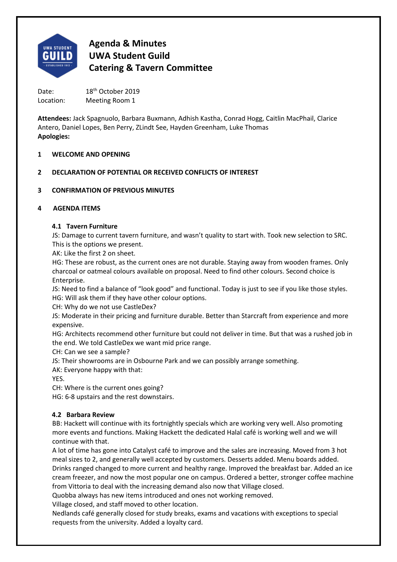

Date: 18<sup>th</sup> October 2019 Location: Meeting Room 1

**Attendees:** Jack Spagnuolo, Barbara Buxmann, Adhish Kastha, Conrad Hogg, Caitlin MacPhail, Clarice Antero, Daniel Lopes, Ben Perry, ZLindt See, Hayden Greenham, Luke Thomas **Apologies:**

# **1 WELCOME AND OPENING**

# **2 DECLARATION OF POTENTIAL OR RECEIVED CONFLICTS OF INTEREST**

# **3 CONFIRMATION OF PREVIOUS MINUTES**

# **4 AGENDA ITEMS**

# **4.1 Tavern Furniture**

JS: Damage to current tavern furniture, and wasn't quality to start with. Took new selection to SRC. This is the options we present.

AK: Like the first 2 on sheet.

HG: These are robust, as the current ones are not durable. Staying away from wooden frames. Only charcoal or oatmeal colours available on proposal. Need to find other colours. Second choice is Enterprise.

JS: Need to find a balance of "look good" and functional. Today is just to see if you like those styles. HG: Will ask them if they have other colour options.

CH: Why do we not use CastleDex?

JS: Moderate in their pricing and furniture durable. Better than Starcraft from experience and more expensive.

HG: Architects recommend other furniture but could not deliver in time. But that was a rushed job in the end. We told CastleDex we want mid price range.

CH: Can we see a sample?

JS: Their showrooms are in Osbourne Park and we can possibly arrange something.

AK: Everyone happy with that:

YES.

CH: Where is the current ones going?

HG: 6-8 upstairs and the rest downstairs.

# **4.2 Barbara Review**

BB: Hackett will continue with its fortnightly specials which are working very well. Also promoting more events and functions. Making Hackett the dedicated Halal café is working well and we will continue with that.

A lot of time has gone into Catalyst café to improve and the sales are increasing. Moved from 3 hot meal sizes to 2, and generally well accepted by customers. Desserts added. Menu boards added. Drinks ranged changed to more current and healthy range. Improved the breakfast bar. Added an ice cream freezer, and now the most popular one on campus. Ordered a better, stronger coffee machine from Vittoria to deal with the increasing demand also now that Village closed.

Quobba always has new items introduced and ones not working removed.

Village closed, and staff moved to other location.

Nedlands café generally closed for study breaks, exams and vacations with exceptions to special requests from the university. Added a loyalty card.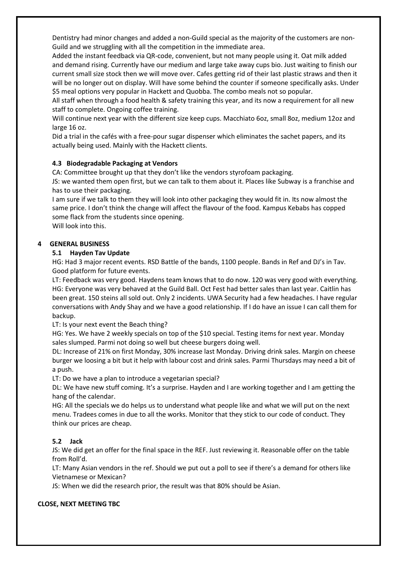Dentistry had minor changes and added a non-Guild special as the majority of the customers are non-Guild and we struggling with all the competition in the immediate area.

Added the instant feedback via QR-code, convenient, but not many people using it. Oat milk added and demand rising. Currently have our medium and large take away cups bio. Just waiting to finish our current small size stock then we will move over. Cafes getting rid of their last plastic straws and then it will be no longer out on display. Will have some behind the counter if someone specifically asks. Under \$5 meal options very popular in Hackett and Quobba. The combo meals not so popular.

All staff when through a food health & safety training this year, and its now a requirement for all new staff to complete. Ongoing coffee training.

Will continue next year with the different size keep cups. Macchiato 6oz, small 8oz, medium 12oz and large 16 oz.

Did a trial in the cafés with a free-pour sugar dispenser which eliminates the sachet papers, and its actually being used. Mainly with the Hackett clients.

#### **4.3 Biodegradable Packaging at Vendors**

CA: Committee brought up that they don't like the vendors styrofoam packaging.

JS: we wanted them open first, but we can talk to them about it. Places like Subway is a franchise and has to use their packaging.

I am sure if we talk to them they will look into other packaging they would fit in. Its now almost the same price. I don't think the change will affect the flavour of the food. Kampus Kebabs has copped some flack from the students since opening.

Will look into this.

#### **4 GENERAL BUSINESS**

#### **5.1 Hayden Tav Update**

HG: Had 3 major recent events. RSD Battle of the bands, 1100 people. Bands in Ref and DJ's in Tav. Good platform for future events.

LT: Feedback was very good. Haydens team knows that to do now. 120 was very good with everything. HG: Everyone was very behaved at the Guild Ball. Oct Fest had better sales than last year. Caitlin has been great. 150 steins all sold out. Only 2 incidents. UWA Security had a few headaches. I have regular conversations with Andy Shay and we have a good relationship. If I do have an issue I can call them for backup.

LT: Is your next event the Beach thing?

HG: Yes. We have 2 weekly specials on top of the \$10 special. Testing items for next year. Monday sales slumped. Parmi not doing so well but cheese burgers doing well.

DL: Increase of 21% on first Monday, 30% increase last Monday. Driving drink sales. Margin on cheese burger we loosing a bit but it help with labour cost and drink sales. Parmi Thursdays may need a bit of a push.

LT: Do we have a plan to introduce a vegetarian special?

DL: We have new stuff coming. It's a surprise. Hayden and I are working together and I am getting the hang of the calendar.

HG: All the specials we do helps us to understand what people like and what we will put on the next menu. Tradees comes in due to all the works. Monitor that they stick to our code of conduct. They think our prices are cheap.

# **5.2 Jack**

JS: We did get an offer for the final space in the REF. Just reviewing it. Reasonable offer on the table from Roll'd.

LT: Many Asian vendors in the ref. Should we put out a poll to see if there's a demand for others like Vietnamese or Mexican?

JS: When we did the research prior, the result was that 80% should be Asian.

#### **CLOSE, NEXT MEETING TBC**